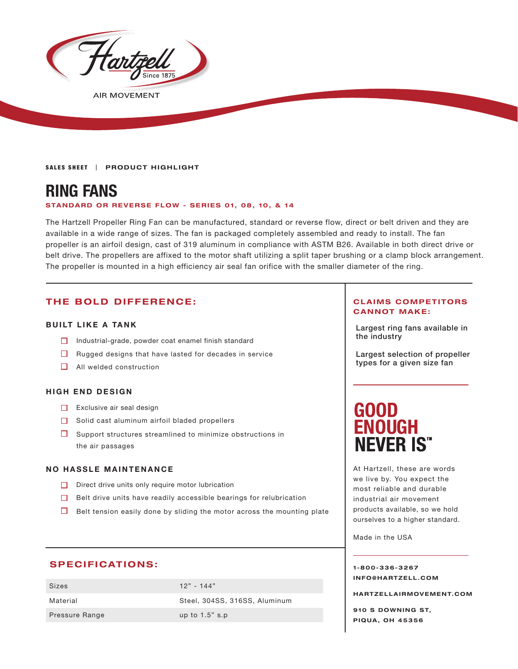

**AIR MOVEMENT** 

**SALES SHEET | PRODUCT HIGHLIGHT** 

# **RING FANS**

#### **STANDARD OR REVERSE FLOW - SERIES 01, 08, 10, & 14**

The Hartzell Propeller Ring Fan can be manufactured, standard or reverse flow, direct or belt driven and they are available in a wide range of sizes. The fan is packaged completely assembled and ready to install. The fan propeller is an airfoil design, cast of 319 aluminum in compliance with ASTM B26. Available in both direct drive or belt drive. The propellers are affixed to the motor shaft utilizing a split taper brushing or a clamp block arrangement. The propeller is mounted in a high efficiency air seal fan orifice with the smaller diameter of the ring.

## **THE BOLD DIFFERENCE:**

#### **BUILT LIKE A TANK**

- $\Box$  Industrial-grade, powder coat enamel finish standard
- $\Box$  Rugged designs that have lasted for decades in service
- $\Box$  All welded construction

#### **HIGH END DESIGN**

- $\Box$  Exclusive air seal design
- $\Box$  Solid cast aluminum airfoil bladed propellers
- $\Box$  Support structures streamlined to minimize obstructions in the air passages

#### **NO HASSLE MAINTENANCE**

- $\Box$  Direct drive units only require motor lubrication
- $\Box$  Belt drive units have readily accessible bearings for relubrication
- $\Box$  Belt tension easily done by sliding the motor across the mounting plate

### **SPECIFICATIONS:**

| Sizes                 | $12" - 144"$                  |
|-----------------------|-------------------------------|
| Material              | Steel, 304SS, 316SS, Aluminum |
| <b>Pressure Range</b> | up to $1.5$ " s.p             |

#### **CLAIMS COMPETITORS CANNOT MAKE:**

Largest ring fans available in the industry

Largest selection of propeller types for a given size fan

# **GOOD ENOUGH NEVER IS"**

At Hartzell, these are words we live by. You expect the most reliable and durable industrial air movement products available, so we hold ourselves to a higher standard.

Made in the USA

#### **1-800-336-3267 I N F O @ H A R T Z E L L . C OM**

**HARTZELLA IRMOVEMENT.COM**

**910 S DOWNING ST, PIQUA, OH 45356**